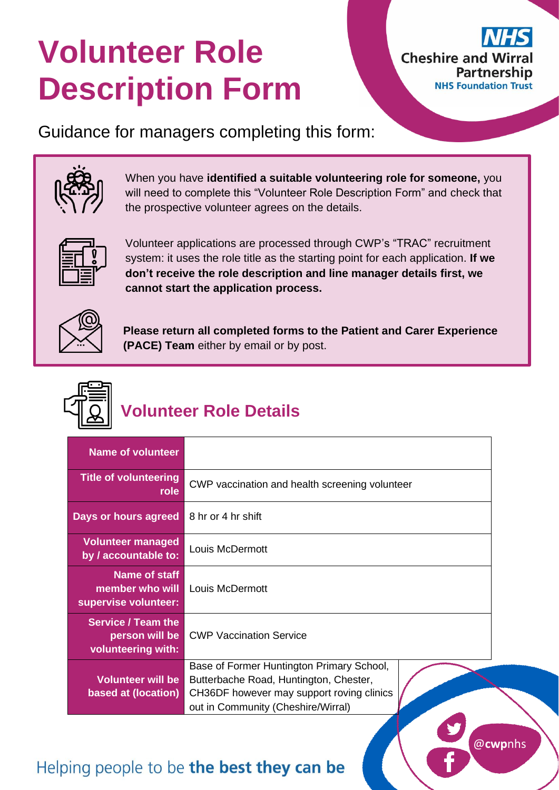# **Volunteer Role Description Form**



@**cwp**nhs

Guidance for managers completing this form:



When you have **identified a suitable volunteering role for someone,** you will need to complete this "Volunteer Role Description Form" and check that the prospective volunteer agrees on the details.



Volunteer applications are processed through CWP's "TRAC" recruitment system: it uses the role title as the starting point for each application. **If we don't receive the role description and line manager details first, we cannot start the application process.**



**Please return all completed forms to the Patient and Carer Experience (PACE) Team** either by email or by post.



# **Volunteer Role Details**

| <b>Name of volunteer</b>                                          |                                                                                                                                                                        |
|-------------------------------------------------------------------|------------------------------------------------------------------------------------------------------------------------------------------------------------------------|
| <b>Title of volunteering</b><br>role                              | CWP vaccination and health screening volunteer                                                                                                                         |
| Days or hours agreed                                              | 8 hr or 4 hr shift                                                                                                                                                     |
| <b>Volunteer managed</b><br>by / accountable to:                  | Louis McDermott                                                                                                                                                        |
| <b>Name of staff</b><br>member who will<br>supervise volunteer:   | Louis McDermott                                                                                                                                                        |
| <b>Service / Team the</b><br>person will be<br>volunteering with: | <b>CWP Vaccination Service</b>                                                                                                                                         |
| <b>Volunteer will be</b><br>based at (location)                   | Base of Former Huntington Primary School,<br>Butterbache Road, Huntington, Chester,<br>CH36DF however may support roving clinics<br>out in Community (Cheshire/Wirral) |

### Helping people to be the best they can be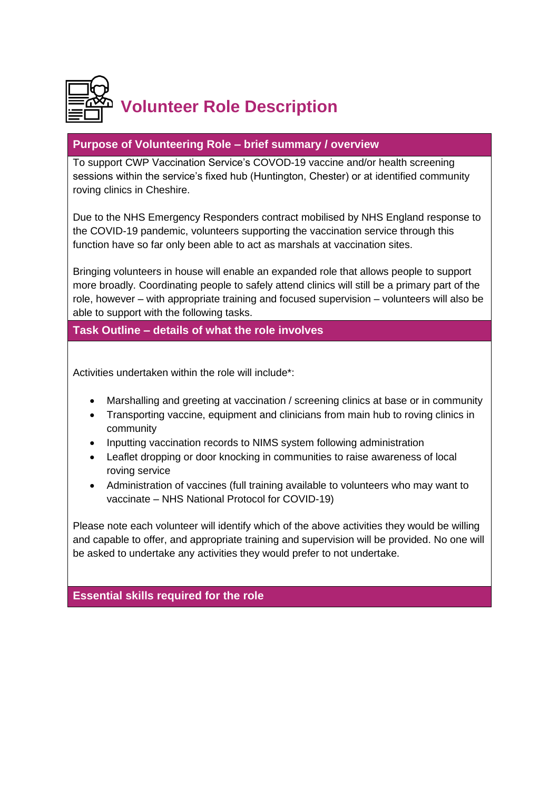

#### **Purpose of Volunteering Role – brief summary / overview**

To support CWP Vaccination Service's COVOD-19 vaccine and/or health screening sessions within the service's fixed hub (Huntington, Chester) or at identified community roving clinics in Cheshire.

Due to the NHS Emergency Responders contract mobilised by NHS England response to the COVID-19 pandemic, volunteers supporting the vaccination service through this function have so far only been able to act as marshals at vaccination sites.

Bringing volunteers in house will enable an expanded role that allows people to support more broadly. Coordinating people to safely attend clinics will still be a primary part of the role, however – with appropriate training and focused supervision – volunteers will also be able to support with the following tasks.

#### **Task Outline – details of what the role involves**

Activities undertaken within the role will include\*:

- Marshalling and greeting at vaccination / screening clinics at base or in community
- Transporting vaccine, equipment and clinicians from main hub to roving clinics in community
- Inputting vaccination records to NIMS system following administration
- Leaflet dropping or door knocking in communities to raise awareness of local roving service
- Administration of vaccines (full training available to volunteers who may want to vaccinate – NHS National Protocol for COVID-19)

Please note each volunteer will identify which of the above activities they would be willing and capable to offer, and appropriate training and supervision will be provided. No one will be asked to undertake any activities they would prefer to not undertake.

**Essential skills required for the role**